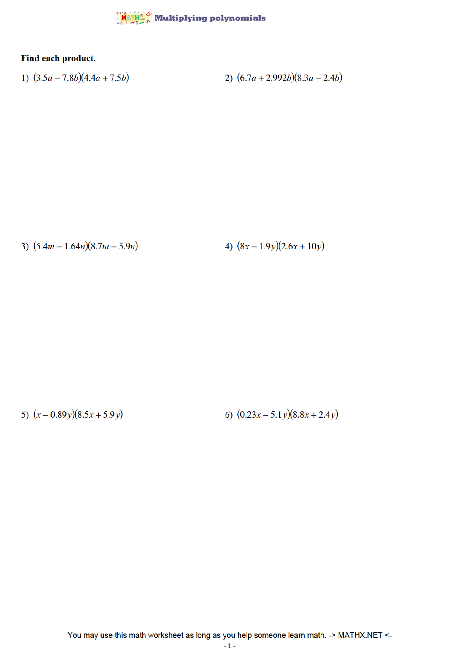

## Find each product.

1)  $(3.5a - 7.8b)(4.4a + 7.5b)$ 2)  $(6.7a + 2.992b)(8.3a - 2.4b)$ 

3)  $(5.4m - 1.64n)(8.7m - 5.9n)$ 

4)  $(8x - 1.9y)(2.6x + 10y)$ 

5)  $(x-0.89y)(8.5x+5.9y)$ 

6)  $(0.23x - 5.1y)(8.8x + 2.4y)$ 

You may use this math worksheet as long as you help someone learn math. -> MATHX.NET <-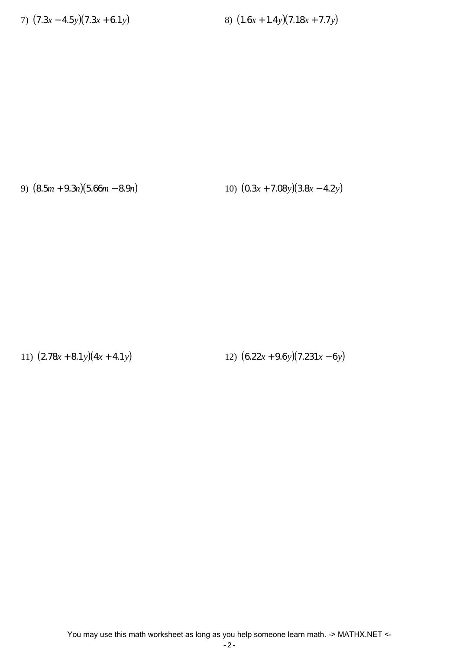7) (7.3*x* − 4.5*y*)(7.3*x* + 6.1*y*) 8) (1.6*x* + 1.4*y*)(7.18*x* + 7.7*y*)

9) (8.5*m* + 9.3*n*)(5.66*m* − 8.9*n*) 10) (0.3*x* + 7.08*y*)(3.8*x* − 4.2*y*)

11) (2.78*x* + 8.1*y*)(4*x* + 4.1*y*) 12) (6.22*x* + 9.6*y*)(7.231*x* − 6*y*)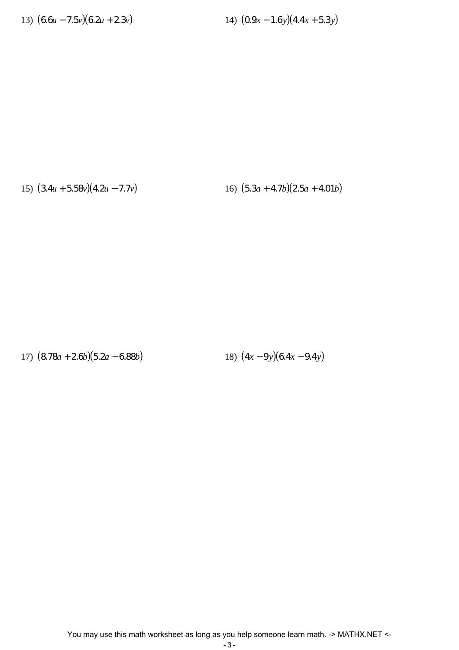13) (6.6*u* − 7.5*v*)(6.2*u* + 2.3*v*) 14) (0.9*x* − 1.6*y*)(4.4*x* + 5.3*y*)

15) (3.4*u* + 5.58*v*)(4.2*u* − 7.7*v*) 16) (5.3*a* + 4.7*b*)(2.5*a* + 4.01*b*)

17) (8.78*a* + 2.6*b*)(5.2*a* − 6.88*b*) 18) (4*x* − 9*y*)(6.4*x* − 9.4*y*)

You may use this math worksheet as long as you help someone learn math. -> MATHX.NET <-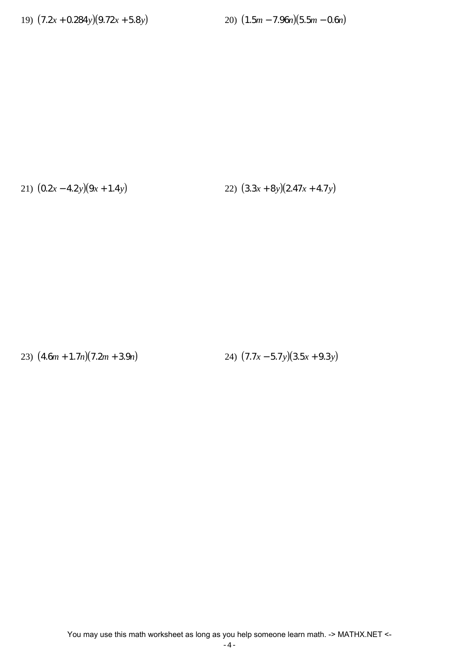19) (7.2*x* + 0.284*y*)(9.72*x* + 5.8*y*) 20) (1.5*m* − 7.96*n*)(5.5*m* − 0.6*n*)

21) (0.2*x* − 4.2*y*)(9*x* + 1.4*y*) 22) (3.3*x* + 8*y*)(2.47*x* + 4.7*y*)

23) (4.6*m* + 1.7*n*)(7.2*m* + 3.9*n*) 24) (7.7*x* − 5.7*y*)(3.5*x* + 9.3*y*)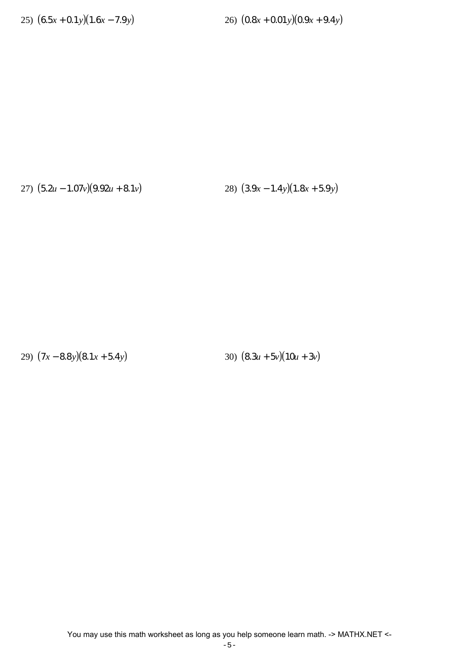25) (6.5*x* + 0.1*y*)(1.6*x* − 7.9*y*) 26) (0.8*x* + 0.01*y*)(0.9*x* + 9.4*y*)

27) (5.2*u* − 1.07*v*)(9.92*u* + 8.1*v*) 28) (3.9*x* − 1.4*y*)(1.8*x* + 5.9*y*)

29) (7*x* − 8.8*y*)(8.1*x* + 5.4*y*) 30) (8.3*u* + 5*v*)(10*u* + 3*v*)